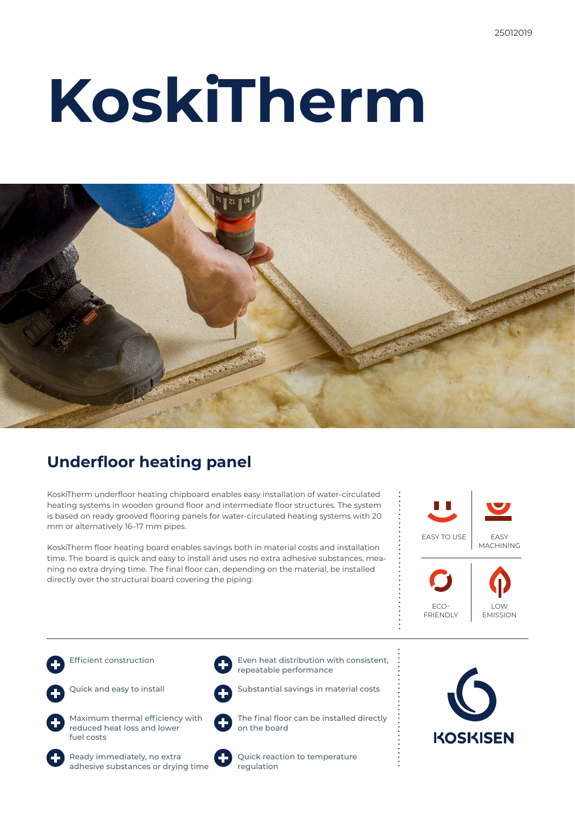# **KoskiTherm**



### **Underfloor heating panel**

KoskiTherm underfloor heating chipboard enables easy installation of water-circulated heating systems in wooden ground floor and intermediate floor structures. The system is based on ready grooved flooring panels for water-circulated heating systems with 20 mm or alternatively 16–17 mm pipes.

KoskiTherm floor heating board enables savings both in material costs and installation time. The board is quick and easy to install and uses no extra adhesive substances, meaning no extra drying time. The final floor can, depending on the material, be installed directly over the structural board covering the piping.











Quick and easy to install



Maximum thermal efficiency with reduced heat loss and lower fuel costs





Substantial savings in material costs

The final floor can be installed directly on the board



Quick reaction to temperature regulation